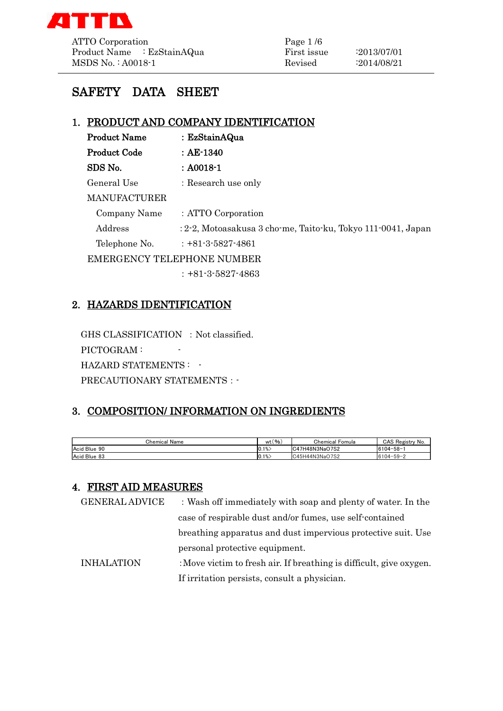

ATTO Corporation Page 1/6 Product Name : EzStainAQua First issue : 2013/07/01 MSDS No.: A0018-1 Revised :2014/08/21

# SAFETY DATA SHEET

### 1. PRODUCT AND COMPANY IDENTIFICATION

| <b>Product Name</b> | : EzStainAQua                                                |
|---------------------|--------------------------------------------------------------|
| Product Code        | $\therefore$ AE-1340                                         |
| SDS No.             | $: A0018 - 1$                                                |
| General Use         | : Research use only                                          |
| MANUFACTURER        |                                                              |
| Company Name        | : ATTO Corporation                                           |
| Address             | : 2-2, Motoasakusa 3 cho-me, Taito-ku, Tokyo 111-0041, Japan |
| Telephone No.       | $: +81 - 3 - 5827 - 4861$                                    |
|                     | <b>EMERGENCY TELEPHONE NUMBER</b>                            |
|                     | $: +81-3-5827-4863$                                          |

### 2. HAZARDS IDENTIFICATION

GHS CLASSIFICATION : Not classified. PICTOGRAM :  $\qquad \qquad$ HAZARD STATEMENTS : -PRECAUTIONARY STATEMENTS : -

# 3. COMPOSITION/ INFORMATION ON INGREDIENTS

| Chemical<br>Name | $^{\prime}$ %.<br>wt | Chemical<br>Fomula      | CAS<br>∴ No.<br>$-$<br><b>Registr</b> |
|------------------|----------------------|-------------------------|---------------------------------------|
| Acid Blue 90     | $ 0.1\% \rangle$     | 17H48N3NaO7S2<br>$\sim$ | $6104 - 58 -$                         |
| Acid Blue 83     | $ 0.1\% \rangle$     | C45H44N3NaO7S2          | $6104 - 59 - 2$                       |

### 4. FIRST AID MEASURES

| <b>GENERAL ADVICE</b> | : Wash off immediately with soap and plenty of water. In the        |
|-----------------------|---------------------------------------------------------------------|
|                       | case of respirable dust and/or fumes, use self-contained            |
|                       | breathing apparatus and dust impervious protective suit. Use        |
|                       | personal protective equipment.                                      |
| <b>INHALATION</b>     | : Move victim to fresh air. If breathing is difficult, give oxygen. |
|                       | If irritation persists, consult a physician.                        |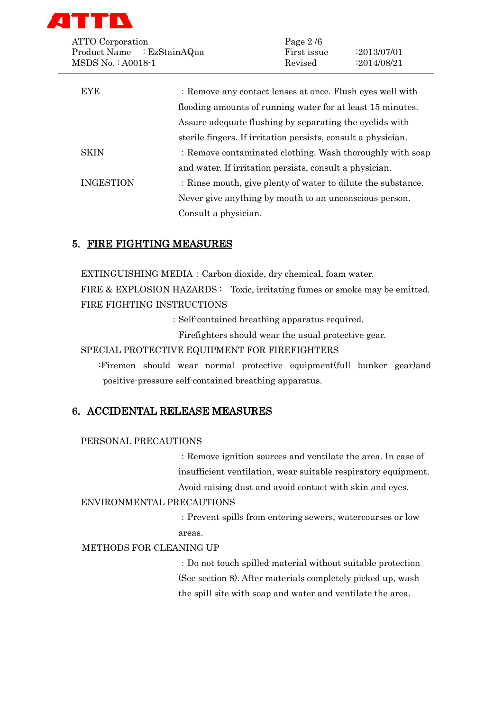

| <b>ATTO</b> Corporation                         |                                                               | Page $2/6$             |                            |
|-------------------------------------------------|---------------------------------------------------------------|------------------------|----------------------------|
| Product Name : EzStainAQua<br>MSDS No.: A0018-1 |                                                               | First issue<br>Revised | :2013/07/01<br>:2014/08/21 |
| <b>EYE</b>                                      | : Remove any contact lenses at once. Flush eyes well with     |                        |                            |
|                                                 | flooding amounts of running water for at least 15 minutes.    |                        |                            |
|                                                 | Assure adequate flushing by separating the eyelids with       |                        |                            |
|                                                 | sterile fingers. If irritation persists, consult a physician. |                        |                            |
| <b>SKIN</b>                                     | : Remove contaminated clothing. Wash thoroughly with soap     |                        |                            |
|                                                 | and water. If irritation persists, consult a physician.       |                        |                            |
| <b>INGESTION</b>                                | : Rinse mouth, give plenty of water to dilute the substance.  |                        |                            |
|                                                 | Never give anything by mouth to an unconscious person.        |                        |                            |
|                                                 | Consult a physician.                                          |                        |                            |

## 5. FIRE FIGHTING MEASURES

EXTINGUISHING MEDIA:Carbon dioxide, dry chemical, foam water. FIRE & EXPLOSION HAZARDS : Toxic, irritating fumes or smoke may be emitted. FIRE FIGHTING INSTRUCTIONS

:Self-contained breathing apparatus required.

Firefighters should wear the usual protective gear.

SPECIAL PROTECTIVE EQUIPMENT FOR FIREFIGHTERS

:Firemen should wear normal protective equipment(full bunker gear)and positive-pressure self-contained breathing apparatus.

### 6. ACCIDENTAL RELEASE MEASURES

#### PERSONAL PRECAUTIONS

:Remove ignition sources and ventilate the area. In case of insufficient ventilation, wear suitable respiratory equipment.

Avoid raising dust and avoid contact with skin and eyes.

#### ENVIRONMENTAL PRECAUTIONS

:Prevent spills from entering sewers, watercourses or low areas.

# METHODS FOR CLEANING UP

:Do not touch spilled material without suitable protection (See section 8). After materials completely picked up, wash the spill site with soap and water and ventilate the area.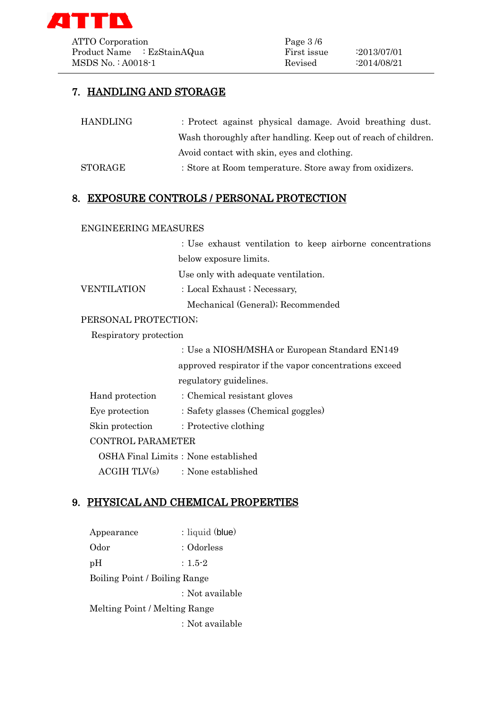

ATTO Corporation Page 3/6 Product Name : EzStainAQua First issue : 2013/07/01 MSDS No. : A0018-1 Revised :2014/08/21

# 7. HANDLING AND STORAGE

| HANDLING                 | : Protect against physical damage. Avoid breathing dust.       |
|--------------------------|----------------------------------------------------------------|
|                          | Wash thoroughly after handling. Keep out of reach of children. |
|                          | Avoid contact with skin, eyes and clothing.                    |
| $\operatorname{STORAGE}$ | : Store at Room temperature. Store away from oxidizers.        |

### 8. EXPOSURE CONTROLS / PERSONAL PROTECTION

#### ENGINEERING MEASURES

:Use exhaust ventilation to keep airborne concentrations below exposure limits. Use only with adequate ventilation.

VENTILATION : Local Exhaust ; Necessary,

Mechanical (General); Recommended

#### PERSONAL PROTECTION;

Respiratory protection

|                 | : Use a NIOSH/MSHA or European Standard EN149          |
|-----------------|--------------------------------------------------------|
|                 | approved respirator if the vapor concentrations exceed |
|                 | regulatory guidelines.                                 |
| Hand protection | : Chemical resistant gloves                            |
| Eye protection  | : Safety glasses (Chemical goggles)                    |
| Skin protection | $\therefore$ Protective clothing                       |
|                 |                                                        |

#### CONTROL PARAMETER

OSHA Final Limits: None established  $ACGIH TIX(s)$  : None established

# 9. PHYSICAL AND CHEMICAL PROPERTIES

| Appearance                    | : liquid (blue) |  |
|-------------------------------|-----------------|--|
| Odor                          | : Odorless      |  |
| pH                            | $: 1.5 - 2$     |  |
| Boiling Point / Boiling Range |                 |  |
|                               | : Not available |  |
| Melting Point / Melting Range |                 |  |
|                               | : Not available |  |
|                               |                 |  |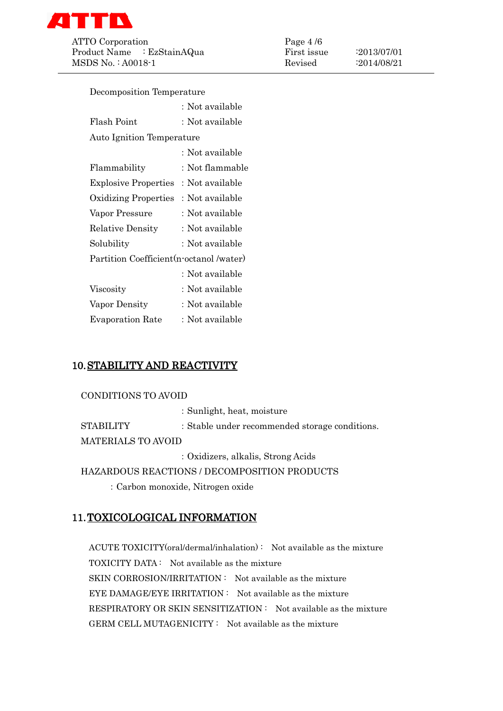

ATTO Corporation Page 4/6 Product Name : EzStainAQua First issue : 2013/07/01 MSDS No.: A0018-1 Revised :2014/08/21

| Decomposition Temperature                |                 |  |
|------------------------------------------|-----------------|--|
|                                          | : Not available |  |
| Flash Point                              | : Not available |  |
| <b>Auto Ignition Temperature</b>         |                 |  |
|                                          | : Not available |  |
| Flammability                             | : Not flammable |  |
| <b>Explosive Properties</b>              | : Not available |  |
| Oxidizing Properties                     | : Not available |  |
| Vapor Pressure                           | : Not available |  |
| <b>Relative Density</b>                  | : Not available |  |
| Solubility                               | : Not available |  |
| Partition Coefficient (n-octanol /water) |                 |  |
|                                          | : Not available |  |
| Viscosity                                | : Not available |  |
| Vapor Density                            | : Not available |  |
| <b>Evaporation Rate</b>                  | : Not available |  |

# 10.STABILITY AND REACTIVITY

#### CONDITIONS TO AVOID

:Sunlight, heat, moisture STABILITY : Stable under recommended storage conditions. MATERIALS TO AVOID

:Oxidizers, alkalis, Strong Acids

HAZARDOUS REACTIONS / DECOMPOSITION PRODUCTS

:Carbon monoxide, Nitrogen oxide

# 11.TOXICOLOGICAL INFORMATION

ACUTE TOXICITY(oral/dermal/inhalation) : Not available as the mixture TOXICITY DATA : Not available as the mixture SKIN CORROSION/IRRITATION : Not available as the mixture EYE DAMAGE/EYE IRRITATION : Not available as the mixture RESPIRATORY OR SKIN SENSITIZATION : Not available as the mixture GERM CELL MUTAGENICITY : Not available as the mixture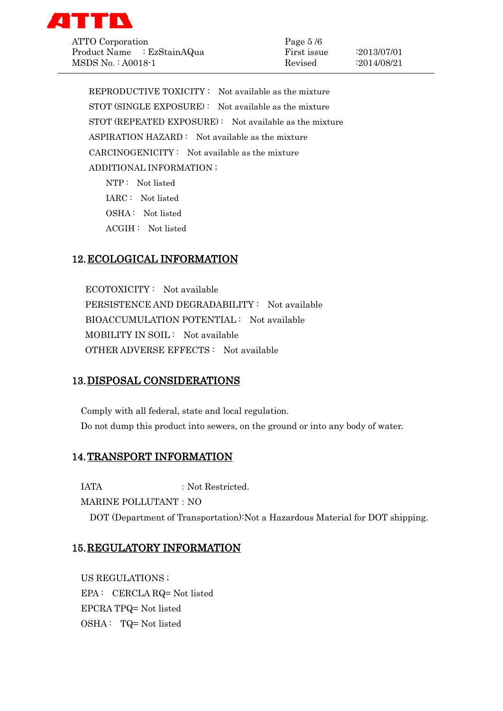

ATTO Corporation Page 5 /6 Product Name : EzStainAQua First issue :2013/07/01 MSDS No. : A0018-1 Revised :2014/08/21

REPRODUCTIVE TOXICITY : Not available as the mixture STOT (SINGLE EXPOSURE) : Not available as the mixture STOT (REPEATED EXPOSURE) : Not available as the mixture ASPIRATION HAZARD : Not available as the mixture CARCINOGENICITY : Not available as the mixture ADDITIONAL INFORMATION ; NTP : Not listed

 IARC : Not listed OSHA : Not listed ACGIH : Not listed

# 12.ECOLOGICAL INFORMATION

ECOTOXICITY : Not available PERSISTENCE AND DEGRADABILITY : Not available BIOACCUMULATION POTENTIAL : Not available MOBILITY IN SOIL : Not available OTHER ADVERSE EFFECTS : Not available

### 13.DISPOSAL CONSIDERATIONS

Comply with all federal, state and local regulation. Do not dump this product into sewers, on the ground or into any body of water.

### 14.TRANSPORT INFORMATION

IATA : Not Restricted.

MARINE POLLUTANT: NO

DOT (Department of Transportation):Not a Hazardous Material for DOT shipping.

#### 15.REGULATORY INFORMATION

US REGULATIONS ; EPA : CERCLA RQ= Not listed EPCRA TPQ= Not listed OSHA : TQ= Not listed